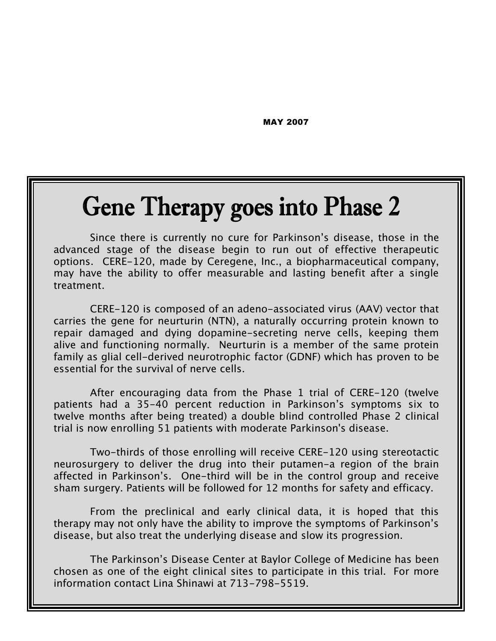MAY 2007

# **Gene Therapy goes into Phase 2**

Since there is currently no cure for Parkinson's disease, those in the advanced stage of the disease begin to run out of effective therapeutic options. CERE-120, made by Ceregene, Inc., a biopharmaceutical company, may have the ability to offer measurable and lasting benefit after a single treatment.

CERE-120 is composed of an adeno-associated virus (AAV) vector that carries the gene for neurturin (NTN), a naturally occurring protein known to repair damaged and dying dopamine-secreting nerve cells, keeping them alive and functioning normally. Neurturin is a member of the same protein family as glial cell-derived neurotrophic factor (GDNF) which has proven to be essential for the survival of nerve cells.

After encouraging data from the Phase 1 trial of CERE-120 (twelve patients had a 35-40 percent reduction in Parkinson's symptoms six to twelve months after being treated) a double blind controlled Phase 2 clinical trial is now enrolling 51 patients with moderate Parkinson's disease.

Two-thirds of those enrolling will receive CERE-120 using stereotactic neurosurgery to deliver the drug into their putamen-a region of the brain affected in Parkinson's. One-third will be in the control group and receive sham surgery. Patients will be followed for 12 months for safety and efficacy.

From the preclinical and early clinical data, it is hoped that this therapy may not only have the ability to improve the symptoms of Parkinson's disease, but also treat the underlying disease and slow its progression.

The Parkinson's Disease Center at Baylor College of Medicine has been chosen as one of the eight clinical sites to participate in this trial. For more information contact Lina Shinawi at 713-798-5519.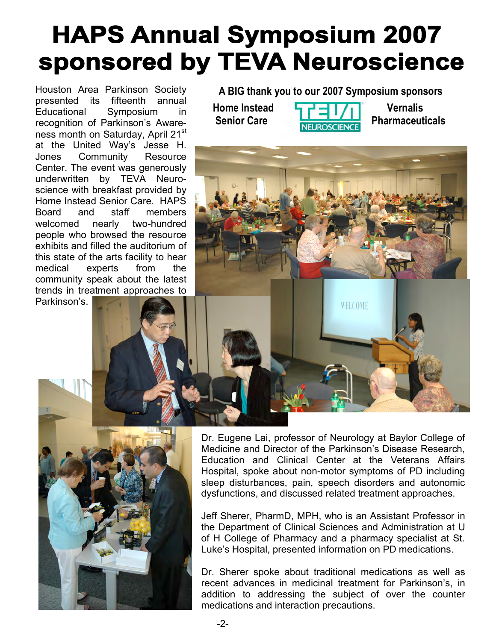# **HAPS Annual Symposium 2007** sponsored by TEVA Neuroscience

Houston Area Parkinson Society presented its fifteenth annual Educational Symposium in recognition of Parkinson's Awareness month on Saturday, April 21<sup>st</sup> at the United Way's Jesse H. Jones Community Resource Center. The event was generously underwritten by TEVA Neuroscience with breakfast provided by Home Instead Senior Care. HAPS Board and staff members welcomed nearly two-hundred people who browsed the resource exhibits and filled the auditorium of this state of the arts facility to hear medical experts from the community speak about the latest trends in treatment approaches to

**A BIG thank you to our 2007 Symposium sponsors**





WELCOME

Parkinson's.

Dr. Eugene Lai, professor of Neurology at Baylor College of Medicine and Director of the Parkinson's Disease Research, Education and Clinical Center at the Veterans Affairs Hospital, spoke about non-motor symptoms of PD including sleep disturbances, pain, speech disorders and autonomic dysfunctions, and discussed related treatment approaches.

Jeff Sherer, PharmD, MPH, who is an Assistant Professor in the Department of Clinical Sciences and Administration at U of H College of Pharmacy and a pharmacy specialist at St. Luke's Hospital, presented information on PD medications.

Dr. Sherer spoke about traditional medications as well as recent advances in medicinal treatment for Parkinson's, in addition to addressing the subject of over the counter medications and interaction precautions.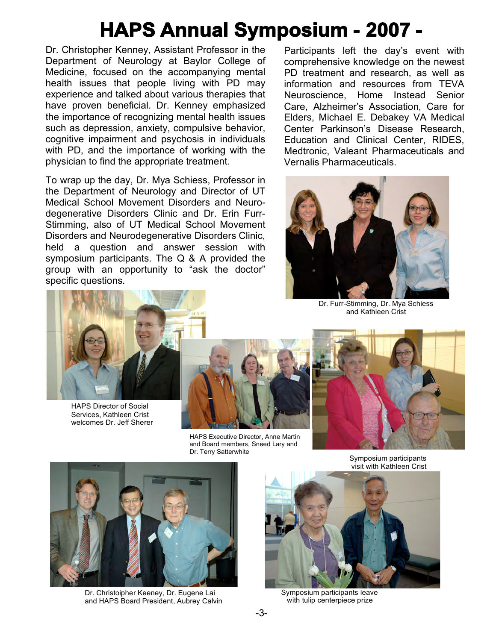## **HAPS Annual Symposium - 2007 -**

Dr. Christopher Kenney, Assistant Professor in the Department of Neurology at Baylor College of Medicine, focused on the accompanying mental health issues that people living with PD may experience and talked about various therapies that have proven beneficial. Dr. Kenney emphasized the importance of recognizing mental health issues such as depression, anxiety, compulsive behavior, cognitive impairment and psychosis in individuals with PD, and the importance of working with the physician to find the appropriate treatment.

To wrap up the day, Dr. Mya Schiess, Professor in the Department of Neurology and Director of UT Medical School Movement Disorders and Neurodegenerative Disorders Clinic and Dr. Erin Furr-Stimming, also of UT Medical School Movement Disorders and Neurodegenerative Disorders Clinic, held a question and answer session with symposium participants. The Q & A provided the group with an opportunity to "ask the doctor" specific questions.

Participants left the day's event with comprehensive knowledge on the newest PD treatment and research, as well as information and resources from TEVA Neuroscience, Home Instead Senior Care, Alzheimer's Association, Care for Elders, Michael E. Debakey VA Medical Center Parkinson's Disease Research, Education and Clinical Center, RIDES, Medtronic, Valeant Pharmaceuticals and Vernalis Pharmaceuticals.



Dr. Furr-Stimming, Dr. Mya Schiess and Kathleen Crist



HAPS Director of Social Services, Kathleen Crist welcomes Dr. Jeff Sherer



HAPS Executive Director, Anne Martin and Board members, Sneed Lary and Dr. Terry Satterwhite



Symposium participants visit with Kathleen Crist



Dr. Christoipher Keeney, Dr. Eugene Lai and HAPS Board President, Aubrey Calvin



Symposium participants leave with tulip centerpiece prize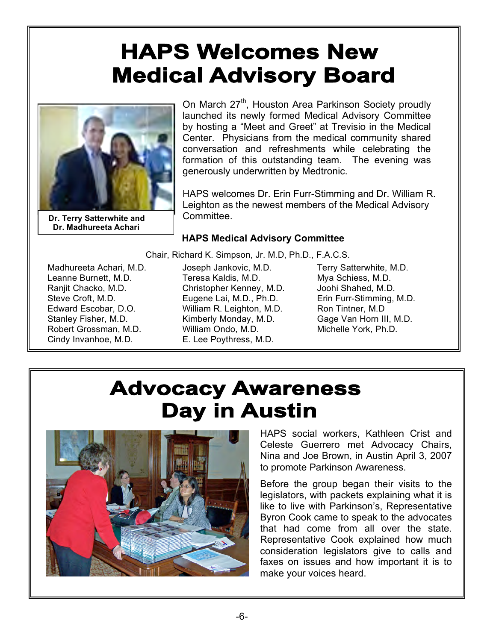## **HAPS Welcomes New Medical Advisory Board**



 **Dr. Terry Satterwhite and Dr. Madhureeta Achari** 

On March 27<sup>th</sup>, Houston Area Parkinson Society proudly launched its newly formed Medical Advisory Committee by hosting a "Meet and Greet" at Trevisio in the Medical Center. Physicians from the medical community shared conversation and refreshments while celebrating the formation of this outstanding team. The evening was generously underwritten by Medtronic.

HAPS welcomes Dr. Erin Furr-Stimming and Dr. William R. Leighton as the newest members of the Medical Advisory Committee.

#### **HAPS Medical Advisory Committee**

Chair, Richard K. Simpson, Jr. M.D, Ph.D., F.A.C.S.

Madhureeta Achari, M.D. Leanne Burnett, M.D. Ranjit Chacko, M.D. Steve Croft, M.D. Edward Escobar, D.O. Stanley Fisher, M.D. Robert Grossman, M.D. Cindy Invanhoe, M.D.

Joseph Jankovic, M.D. Teresa Kaldis, M.D. Christopher Kenney, M.D. Eugene Lai, M.D., Ph.D. William R. Leighton, M.D. Kimberly Monday, M.D. William Ondo, M.D. E. Lee Poythress, M.D.

Terry Satterwhite, M.D. Mya Schiess, M.D. Joohi Shahed, M.D. Erin Furr-Stimming, M.D. Ron Tintner, M.D Gage Van Horn III, M.D. Michelle York, Ph.D.

### **Advocacy Awareness Day in Austin**



HAPS social workers, Kathleen Crist and Celeste Guerrero met Advocacy Chairs, Nina and Joe Brown, in Austin April 3, 2007 to promote Parkinson Awareness.

Before the group began their visits to the legislators, with packets explaining what it is like to live with Parkinson's, Representative Byron Cook came to speak to the advocates that had come from all over the state. Representative Cook explained how much consideration legislators give to calls and faxes on issues and how important it is to make your voices heard.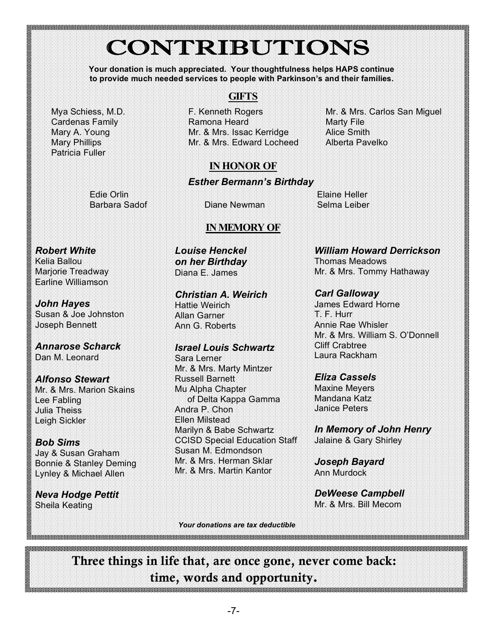## **CONTRIBUTIONS**

**Your donation is much appreciated. Your thoughtfulness helps HAPS continue to provide much needed services to people with Parkinson's and their families.**

Mya Schiess, M.D. Cardenas Family Mary A. Young Mary Phillips Patricia Fuller

### **GIFTS**

F. Kenneth Rogers Ramona Heard Mr. & Mrs. Issac Kerridge Mr. & Mrs. Edward Locheed

Mr. & Mrs. Carlos San Miguel Marty File Alice Smith Alberta Pavelko

### **IN HONOR OF**

#### *Esther Bermann's Birthday*

Edie Orlin

Barbara Sadof Diane Newman

Elaine Heller Selma Leiber

#### **IN MEMORY OF**

*Robert White* Kelia Ballou Marjorie Treadway

Earline Williamson *John Hayes* Susan & Joe Johnston

Joseph Bennett

*Annarose Scharck* Dan M. Leonard

*Alfonso Stewart* Mr. & Mrs. Marion Skains Lee Fabling Julia Theiss Leigh Sickler

*Bob Sims* Jay & Susan Graham Bonnie & Stanley Deming Lynley & Michael Allen

*Neva Hodge Pettit* Sheila Keating

*Louise Henckel on her Birthday* Diana E. James

*Christian A. Weirich* Hattie Weirich Allan Garner Ann G. Roberts

*Israel Louis Schwartz* Sara Lerner Mr. & Mrs. Marty Mintzer Russell Barnett Mu Alpha Chapter of Delta Kappa Gamma Andra P. Chon Ellen Milstead Marilyn & Babe Schwartz CCISD Special Education Staff Susan M. Edmondson Mr. & Mrs. Herman Sklar Mr. & Mrs. Martin Kantor

*William Howard Derrickson* Thomas Meadows Mr. & Mrs. Tommy Hathaway

*Carl Galloway* James Edward Horne T. F. Hurr Annie Rae Whisler Mr. & Mrs. William S. O'Donnell Cliff Crabtree Laura Rackham

*Eliza Cassels* Maxine Meyers Mandana Katz Janice Peters

*In Memory of John Henry* Jalaine & Gary Shirley

*Joseph Bayard* Ann Murdock

*DeWeese Campbell* Mr. & Mrs. Bill Mecom

*Your donations are tax deductible* 

Three things in life that, are once gone, never come back: time, words and opportunity.